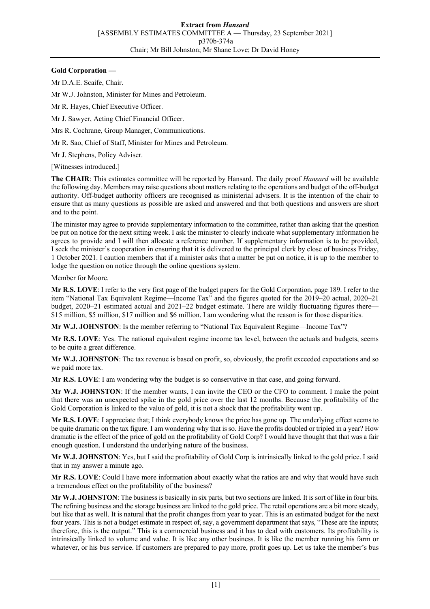## **Gold Corporation —**

Mr D.A.E. Scaife, Chair.

Mr W.J. Johnston, Minister for Mines and Petroleum.

Mr R. Hayes, Chief Executive Officer.

Mr J. Sawyer, Acting Chief Financial Officer.

Mrs R. Cochrane, Group Manager, Communications.

Mr R. Sao, Chief of Staff, Minister for Mines and Petroleum.

Mr J. Stephens, Policy Adviser.

[Witnesses introduced.]

**The CHAIR**: This estimates committee will be reported by Hansard. The daily proof *Hansard* will be available the following day. Members may raise questions about matters relating to the operations and budget of the off-budget authority. Off-budget authority officers are recognised as ministerial advisers. It is the intention of the chair to ensure that as many questions as possible are asked and answered and that both questions and answers are short and to the point.

The minister may agree to provide supplementary information to the committee, rather than asking that the question be put on notice for the next sitting week. I ask the minister to clearly indicate what supplementary information he agrees to provide and I will then allocate a reference number. If supplementary information is to be provided, I seek the minister's cooperation in ensuring that it is delivered to the principal clerk by close of business Friday, 1 October 2021. I caution members that if a minister asks that a matter be put on notice, it is up to the member to lodge the question on notice through the online questions system.

Member for Moore.

**Mr R.S. LOVE**: I refer to the very first page of the budget papers for the Gold Corporation, page 189. I refer to the item "National Tax Equivalent Regime—Income Tax" and the figures quoted for the 2019–20 actual, 2020–21 budget, 2020–21 estimated actual and 2021–22 budget estimate. There are wildly fluctuating figures there— \$15 million, \$5 million, \$17 million and \$6 million. I am wondering what the reason is for those disparities.

**Mr W.J. JOHNSTON**: Is the member referring to "National Tax Equivalent Regime—Income Tax"?

**Mr R.S. LOVE**: Yes. The national equivalent regime income tax level, between the actuals and budgets, seems to be quite a great difference.

**Mr W.J. JOHNSTON**: The tax revenue is based on profit, so, obviously, the profit exceeded expectations and so we paid more tax.

**Mr R.S. LOVE**: I am wondering why the budget is so conservative in that case, and going forward.

**Mr W.J. JOHNSTON**: If the member wants, I can invite the CEO or the CFO to comment. I make the point that there was an unexpected spike in the gold price over the last 12 months. Because the profitability of the Gold Corporation is linked to the value of gold, it is not a shock that the profitability went up.

**Mr R.S. LOVE**: I appreciate that; I think everybody knows the price has gone up. The underlying effect seems to be quite dramatic on the tax figure. I am wondering why that is so. Have the profits doubled or tripled in a year? How dramatic is the effect of the price of gold on the profitability of Gold Corp? I would have thought that that was a fair enough question. I understand the underlying nature of the business.

**Mr W.J. JOHNSTON**: Yes, but I said the profitability of Gold Corp is intrinsically linked to the gold price. I said that in my answer a minute ago.

**Mr R.S. LOVE**: Could I have more information about exactly what the ratios are and why that would have such a tremendous effect on the profitability of the business?

**Mr W.J. JOHNSTON**: The business is basically in six parts, but two sections are linked. It is sort of like in four bits. The refining business and the storage business are linked to the gold price. The retail operations are a bit more steady, but like that as well. It is natural that the profit changes from year to year. This is an estimated budget for the next four years. This is not a budget estimate in respect of, say, a government department that says, "These are the inputs; therefore, this is the output." This is a commercial business and it has to deal with customers. Its profitability is intrinsically linked to volume and value. It is like any other business. It is like the member running his farm or whatever, or his bus service. If customers are prepared to pay more, profit goes up. Let us take the member's bus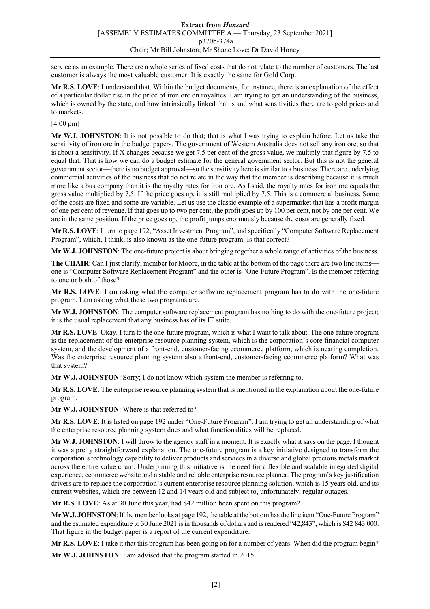service as an example. There are a whole series of fixed costs that do not relate to the number of customers. The last customer is always the most valuable customer. It is exactly the same for Gold Corp.

**Mr R.S. LOVE**: I understand that. Within the budget documents, for instance, there is an explanation of the effect of a particular dollar rise in the price of iron ore on royalties. I am trying to get an understanding of the business, which is owned by the state, and how intrinsically linked that is and what sensitivities there are to gold prices and to markets.

## [4.00 pm]

**Mr W.J. JOHNSTON**: It is not possible to do that; that is what I was trying to explain before. Let us take the sensitivity of iron ore in the budget papers. The government of Western Australia does not sell any iron ore, so that is about a sensitivity. If X changes because we get 7.5 per cent of the gross value, we multiply that figure by 7.5 to equal that. That is how we can do a budget estimate for the general government sector. But this is not the general government sector—there is no budget approval—so the sensitivity here is similar to a business. There are underlying commercial activities of the business that do not relate in the way that the member is describing because it is much more like a bus company than it is the royalty rates for iron ore. As I said, the royalty rates for iron ore equals the gross value multiplied by 7.5. If the price goes up, it is still multiplied by 7.5. This is a commercial business. Some of the costs are fixed and some are variable. Let us use the classic example of a supermarket that has a profit margin of one per cent of revenue. If that goes up to two per cent, the profit goes up by 100 per cent, not by one per cent. We are in the same position. If the price goes up, the profit jumps enormously because the costs are generally fixed.

**Mr R.S. LOVE**: I turn to page 192, "Asset Investment Program", and specifically "Computer Software Replacement Program", which, I think, is also known as the one-future program. Is that correct?

**Mr W.J. JOHNSTON**: The one-future project is about bringing together a whole range of activities of the business.

**The CHAIR**: Can I just clarify, member for Moore, in the table at the bottom of the page there are two line items one is "Computer Software Replacement Program" and the other is "One-Future Program". Is the member referring to one or both of those?

**Mr R.S. LOVE**: I am asking what the computer software replacement program has to do with the one-future program. I am asking what these two programs are.

**Mr W.J. JOHNSTON**: The computer software replacement program has nothing to do with the one-future project; it is the usual replacement that any business has of its IT suite.

**Mr R.S. LOVE**: Okay. I turn to the one-future program, which is what I want to talk about. The one-future program is the replacement of the enterprise resource planning system, which is the corporation's core financial computer system, and the development of a front-end, customer-facing ecommerce platform, which is nearing completion. Was the enterprise resource planning system also a front-end, customer-facing ecommerce platform? What was that system?

**Mr W.J. JOHNSTON**: Sorry; I do not know which system the member is referring to.

**Mr R.S. LOVE**: The enterprise resource planning system that is mentioned in the explanation about the one-future program.

**Mr W.J. JOHNSTON**: Where is that referred to?

**Mr R.S. LOVE**: It is listed on page 192 under "One-Future Program". I am trying to get an understanding of what the enterprise resource planning system does and what functionalities will be replaced.

**Mr W.J. JOHNSTON**: I will throw to the agency staff in a moment. It is exactly what it says on the page. I thought it was a pretty straightforward explanation. The one-future program is a key initiative designed to transform the corporation's technology capability to deliver products and services in a diverse and global precious metals market across the entire value chain. Underpinning this initiative is the need for a flexible and scalable integrated digital experience, ecommerce website and a stable and reliable enterprise resource planner. The program's key justification drivers are to replace the corporation's current enterprise resource planning solution, which is 15 years old, and its current websites, which are between 12 and 14 years old and subject to, unfortunately, regular outages.

**Mr R.S. LOVE**: As at 30 June this year, had \$42 million been spent on this program?

**Mr W.J. JOHNSTON**: If the member looks at page 192, the table at the bottom has the line item "One-Future Program" and the estimated expenditure to 30 June 2021 is in thousands of dollars and is rendered "42,843", which is \$42 843 000. That figure in the budget paper is a report of the current expenditure.

**Mr R.S. LOVE**: I take it that this program has been going on for a number of years. When did the program begin?

**Mr W.J. JOHNSTON**: I am advised that the program started in 2015.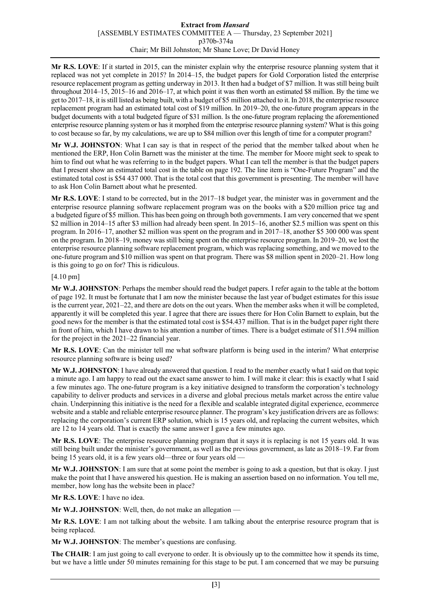## **Extract from** *Hansard* [ASSEMBLY ESTIMATES COMMITTEE A — Thursday, 23 September 2021] p370b-374a Chair; Mr Bill Johnston; Mr Shane Love; Dr David Honey

**Mr R.S. LOVE**: If it started in 2015, can the minister explain why the enterprise resource planning system that it replaced was not yet complete in 2015? In 2014–15, the budget papers for Gold Corporation listed the enterprise resource replacement program as getting underway in 2013. It then had a budget of \$7 million. It was still being built throughout 2014–15, 2015–16 and 2016–17, at which point it was then worth an estimated \$8 million. By the time we get to 2017–18, it is still listed as being built, with a budget of \$5 million attached to it. In 2018, the enterprise resource replacement program had an estimated total cost of \$19 million. In 2019–20, the one-future program appears in the budget documents with a total budgeted figure of \$31 million. Is the one-future program replacing the aforementioned enterprise resource planning system or has it morphed from the enterprise resource planning system? What is this going to cost because so far, by my calculations, we are up to \$84 million over this length of time for a computer program?

**Mr W.J. JOHNSTON**: What I can say is that in respect of the period that the member talked about when he mentioned the ERP, Hon Colin Barnett was the minister at the time. The member for Moore might seek to speak to him to find out what he was referring to in the budget papers. What I can tell the member is that the budget papers that I present show an estimated total cost in the table on page 192. The line item is "One-Future Program" and the estimated total cost is \$54 437 000. That is the total cost that this government is presenting. The member will have to ask Hon Colin Barnett about what he presented.

**Mr R.S. LOVE**: I stand to be corrected, but in the 2017–18 budget year, the minister was in government and the enterprise resource planning software replacement program was on the books with a \$20 million price tag and a budgeted figure of \$5 million. This has been going on through both governments. I am very concerned that we spent \$2 million in 2014–15 after \$3 million had already been spent. In 2015–16, another \$2.5 million was spent on this program. In 2016–17, another \$2 million was spent on the program and in 2017–18, another \$5 300 000 was spent on the program. In 2018–19, money was still being spent on the enterprise resource program. In 2019–20, we lost the enterprise resource planning software replacement program, which was replacing something, and we moved to the one-future program and \$10 million was spent on that program. There was \$8 million spent in 2020–21. How long is this going to go on for? This is ridiculous.

## [4.10 pm]

**Mr W.J. JOHNSTON**: Perhaps the member should read the budget papers. I refer again to the table at the bottom of page 192. It must be fortunate that I am now the minister because the last year of budget estimates for this issue is the current year, 2021–22, and there are dots on the out years. When the member asks when it will be completed, apparently it will be completed this year. I agree that there are issues there for Hon Colin Barnett to explain, but the good news for the member is that the estimated total cost is \$54.437 million. That is in the budget paper right there in front of him, which I have drawn to his attention a number of times. There is a budget estimate of \$11.594 million for the project in the 2021–22 financial year.

**Mr R.S. LOVE**: Can the minister tell me what software platform is being used in the interim? What enterprise resource planning software is being used?

**Mr W.J. JOHNSTON**: I have already answered that question. I read to the member exactly what I said on that topic a minute ago. I am happy to read out the exact same answer to him. I will make it clear: this is exactly what I said a few minutes ago. The one-future program is a key initiative designed to transform the corporation's technology capability to deliver products and services in a diverse and global precious metals market across the entire value chain. Underpinning this initiative is the need for a flexible and scalable integrated digital experience, ecommerce website and a stable and reliable enterprise resource planner. The program's key justification drivers are as follows: replacing the corporation's current ERP solution, which is 15 years old, and replacing the current websites, which are 12 to 14 years old. That is exactly the same answer I gave a few minutes ago.

**Mr R.S. LOVE**: The enterprise resource planning program that it says it is replacing is not 15 years old. It was still being built under the minister's government, as well as the previous government, as late as 2018–19. Far from being 15 years old, it is a few years old—three or four years old —

**Mr W.J. JOHNSTON**: I am sure that at some point the member is going to ask a question, but that is okay. I just make the point that I have answered his question. He is making an assertion based on no information. You tell me, member, how long has the website been in place?

**Mr R.S. LOVE**: I have no idea.

**Mr W.J. JOHNSTON**: Well, then, do not make an allegation —

**Mr R.S. LOVE**: I am not talking about the website. I am talking about the enterprise resource program that is being replaced.

**Mr W.J. JOHNSTON**: The member's questions are confusing.

**The CHAIR**: I am just going to call everyone to order. It is obviously up to the committee how it spends its time, but we have a little under 50 minutes remaining for this stage to be put. I am concerned that we may be pursuing